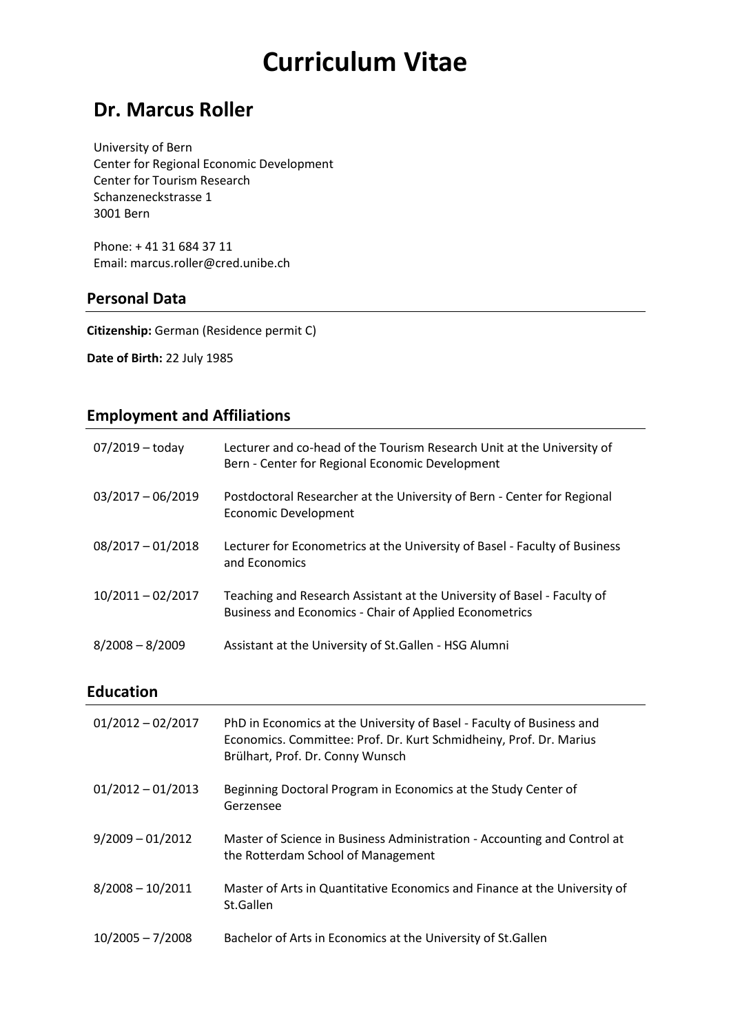# **Curriculum Vitae**

# **Dr. Marcus Roller**

University of Bern Center for Regional Economic Development Center for Tourism Research Schanzeneckstrasse 1 3001 Bern

Phone: + 41 31 684 37 11 Email: marcus.roller@cred.unibe.ch

#### **Personal Data**

**Citizenship:** German (Residence permit C)

**Date of Birth:** 22 July 1985

## **Employment and Affiliations**

| $07/2019 -$ today   | Lecturer and co-head of the Tourism Research Unit at the University of<br>Bern - Center for Regional Economic Development                |
|---------------------|------------------------------------------------------------------------------------------------------------------------------------------|
| $03/2017 - 06/2019$ | Postdoctoral Researcher at the University of Bern - Center for Regional<br><b>Economic Development</b>                                   |
| $08/2017 - 01/2018$ | Lecturer for Econometrics at the University of Basel - Faculty of Business<br>and Economics                                              |
| $10/2011 - 02/2017$ | Teaching and Research Assistant at the University of Basel - Faculty of<br><b>Business and Economics - Chair of Applied Econometrics</b> |
| $8/2008 - 8/2009$   | Assistant at the University of St.Gallen - HSG Alumni                                                                                    |

#### **Education**

| $01/2012 - 02/2017$ | PhD in Economics at the University of Basel - Faculty of Business and<br>Economics. Committee: Prof. Dr. Kurt Schmidheiny, Prof. Dr. Marius<br>Brülhart, Prof. Dr. Conny Wunsch |
|---------------------|---------------------------------------------------------------------------------------------------------------------------------------------------------------------------------|
| $01/2012 - 01/2013$ | Beginning Doctoral Program in Economics at the Study Center of<br>Gerzensee                                                                                                     |
| $9/2009 - 01/2012$  | Master of Science in Business Administration - Accounting and Control at<br>the Rotterdam School of Management                                                                  |
| $8/2008 - 10/2011$  | Master of Arts in Quantitative Economics and Finance at the University of<br>St.Gallen                                                                                          |
| $10/2005 - 7/2008$  | Bachelor of Arts in Economics at the University of St. Gallen                                                                                                                   |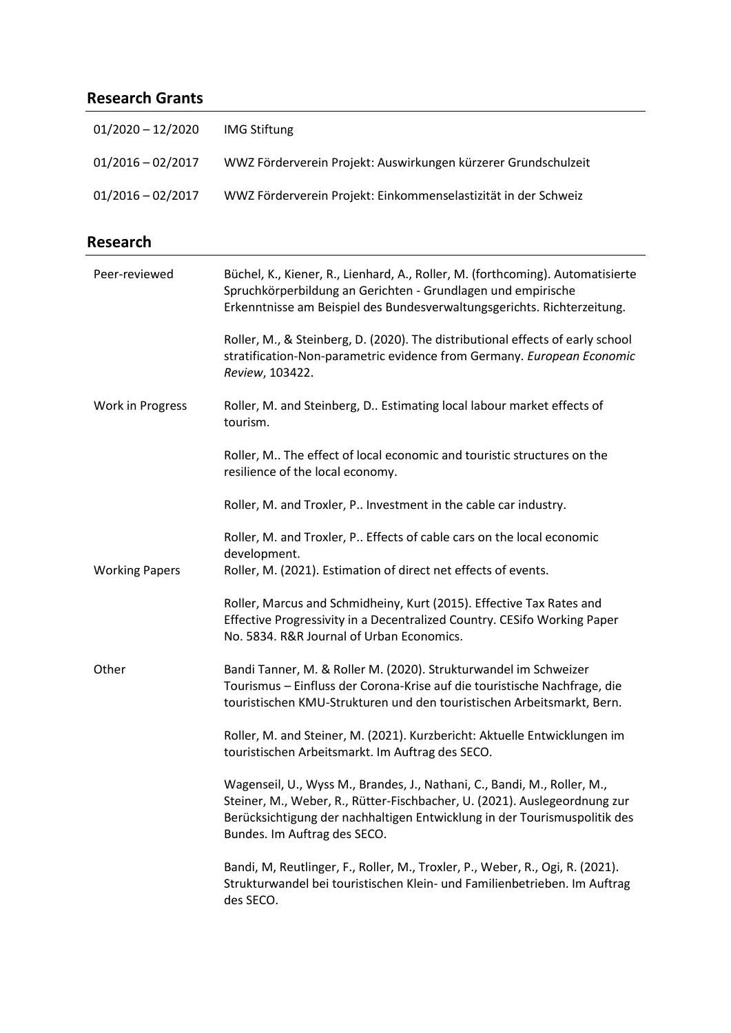## **Research Grants**

| $01/2020 - 12/2020$ | <b>IMG Stiftung</b>                                            |
|---------------------|----------------------------------------------------------------|
| $01/2016 - 02/2017$ | WWZ Förderverein Projekt: Auswirkungen kürzerer Grundschulzeit |
| $01/2016 - 02/2017$ | WWZ Förderverein Projekt: Einkommenselastizität in der Schweiz |

## **Research**

| Peer-reviewed         | Büchel, K., Kiener, R., Lienhard, A., Roller, M. (forthcoming). Automatisierte                                                                                                                                                                                     |
|-----------------------|--------------------------------------------------------------------------------------------------------------------------------------------------------------------------------------------------------------------------------------------------------------------|
|                       | Spruchkörperbildung an Gerichten - Grundlagen und empirische<br>Erkenntnisse am Beispiel des Bundesverwaltungsgerichts. Richterzeitung.                                                                                                                            |
|                       | Roller, M., & Steinberg, D. (2020). The distributional effects of early school<br>stratification-Non-parametric evidence from Germany. European Economic<br>Review, 103422.                                                                                        |
| Work in Progress      | Roller, M. and Steinberg, D Estimating local labour market effects of<br>tourism.                                                                                                                                                                                  |
|                       | Roller, M The effect of local economic and touristic structures on the<br>resilience of the local economy.                                                                                                                                                         |
|                       | Roller, M. and Troxler, P Investment in the cable car industry.                                                                                                                                                                                                    |
|                       | Roller, M. and Troxler, P Effects of cable cars on the local economic<br>development.                                                                                                                                                                              |
| <b>Working Papers</b> | Roller, M. (2021). Estimation of direct net effects of events.                                                                                                                                                                                                     |
|                       | Roller, Marcus and Schmidheiny, Kurt (2015). Effective Tax Rates and<br>Effective Progressivity in a Decentralized Country. CESifo Working Paper<br>No. 5834. R&R Journal of Urban Economics.                                                                      |
| Other                 | Bandi Tanner, M. & Roller M. (2020). Strukturwandel im Schweizer<br>Tourismus - Einfluss der Corona-Krise auf die touristische Nachfrage, die<br>touristischen KMU-Strukturen und den touristischen Arbeitsmarkt, Bern.                                            |
|                       | Roller, M. and Steiner, M. (2021). Kurzbericht: Aktuelle Entwicklungen im<br>touristischen Arbeitsmarkt. Im Auftrag des SECO.                                                                                                                                      |
|                       | Wagenseil, U., Wyss M., Brandes, J., Nathani, C., Bandi, M., Roller, M.,<br>Steiner, M., Weber, R., Rütter-Fischbacher, U. (2021). Auslegeordnung zur<br>Berücksichtigung der nachhaltigen Entwicklung in der Tourismuspolitik des<br>Bundes. Im Auftrag des SECO. |
|                       | Bandi, M, Reutlinger, F., Roller, M., Troxler, P., Weber, R., Ogi, R. (2021).<br>Strukturwandel bei touristischen Klein- und Familienbetrieben. Im Auftrag<br>des SECO.                                                                                            |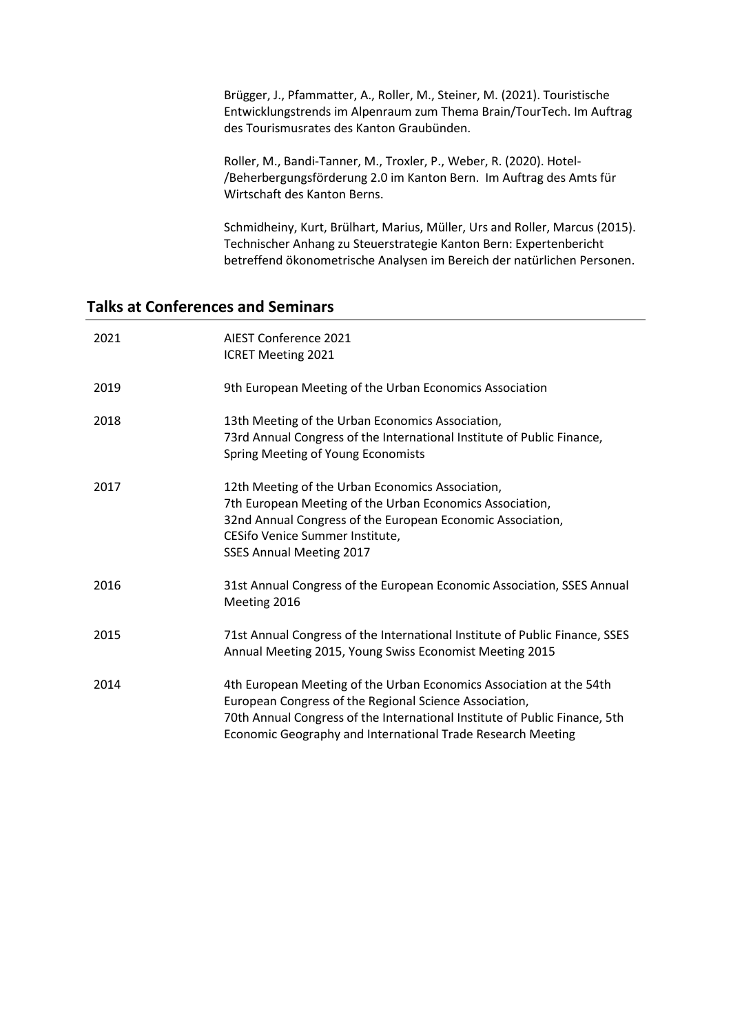Brügger, J., Pfammatter, A., Roller, M., Steiner, M. (2021). Touristische Entwicklungstrends im Alpenraum zum Thema Brain/TourTech. Im Auftrag des Tourismusrates des Kanton Graubünden.

Roller, M., Bandi-Tanner, M., Troxler, P., Weber, R. (2020). Hotel- /Beherbergungsförderung 2.0 im Kanton Bern. Im Auftrag des Amts für Wirtschaft des Kanton Berns.

Schmidheiny, Kurt, Brülhart, Marius, Müller, Urs and Roller, Marcus (2015). Technischer Anhang zu Steuerstrategie Kanton Bern: Expertenbericht betreffend ökonometrische Analysen im Bereich der natürlichen Personen.

#### **Talks at Conferences and Seminars**

| 2021 | AIEST Conference 2021<br><b>ICRET Meeting 2021</b>                                                                                                                                                                                                                         |
|------|----------------------------------------------------------------------------------------------------------------------------------------------------------------------------------------------------------------------------------------------------------------------------|
| 2019 | 9th European Meeting of the Urban Economics Association                                                                                                                                                                                                                    |
| 2018 | 13th Meeting of the Urban Economics Association,<br>73rd Annual Congress of the International Institute of Public Finance,<br>Spring Meeting of Young Economists                                                                                                           |
| 2017 | 12th Meeting of the Urban Economics Association,<br>7th European Meeting of the Urban Economics Association,<br>32nd Annual Congress of the European Economic Association,<br>CESifo Venice Summer Institute,<br><b>SSES Annual Meeting 2017</b>                           |
| 2016 | 31st Annual Congress of the European Economic Association, SSES Annual<br>Meeting 2016                                                                                                                                                                                     |
| 2015 | 71st Annual Congress of the International Institute of Public Finance, SSES<br>Annual Meeting 2015, Young Swiss Economist Meeting 2015                                                                                                                                     |
| 2014 | 4th European Meeting of the Urban Economics Association at the 54th<br>European Congress of the Regional Science Association,<br>70th Annual Congress of the International Institute of Public Finance, 5th<br>Economic Geography and International Trade Research Meeting |